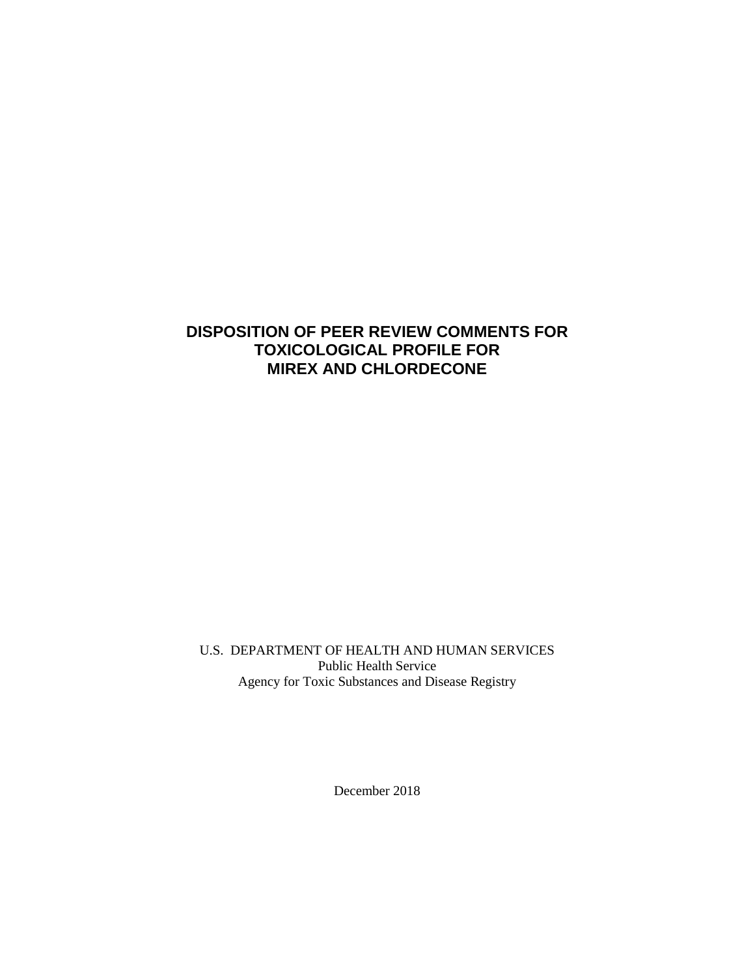# **DISPOSITION OF PEER REVIEW COMMENTS FOR TOXICOLOGICAL PROFILE FOR MIREX AND CHLORDECONE**

U.S. DEPARTMENT OF HEALTH AND HUMAN SERVICES Public Health Service Agency for Toxic Substances and Disease Registry

December 2018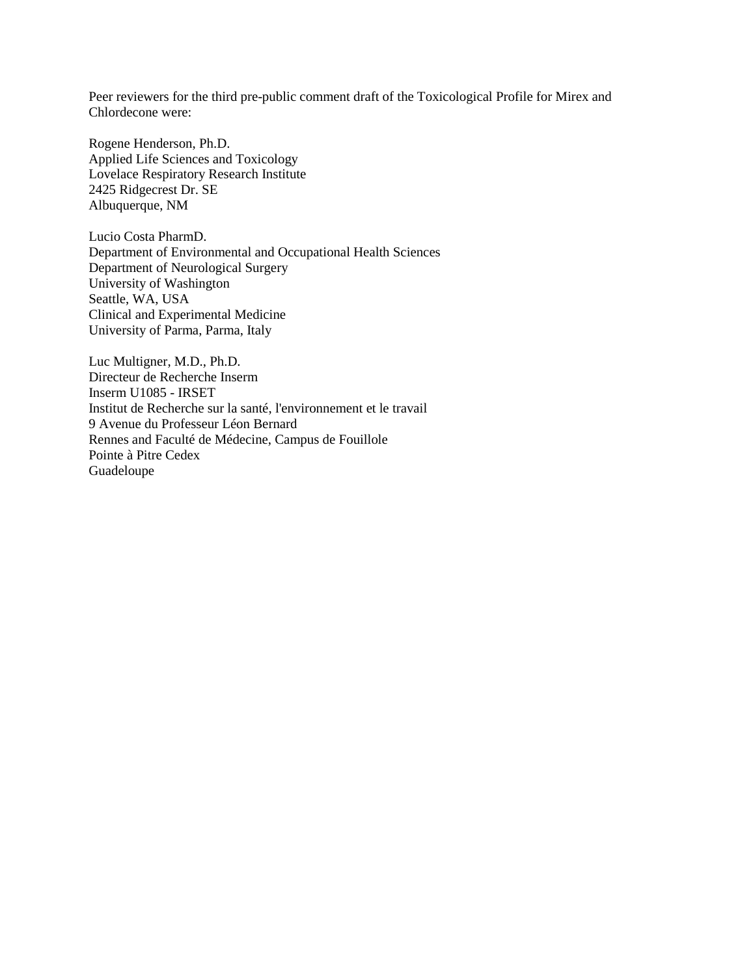Peer reviewers for the third pre-public comment draft of the Toxicological Profile for Mirex and Chlordecone were:

Rogene Henderson, Ph.D. Applied Life Sciences and Toxicology Lovelace Respiratory Research Institute 2425 Ridgecrest Dr. SE Albuquerque, NM

Lucio Costa PharmD. Department of Environmental and Occupational Health Sciences Department of Neurological Surgery University of Washington Seattle, WA, USA Clinical and Experimental Medicine University of Parma, Parma, Italy

Luc Multigner, M.D., Ph.D. Directeur de Recherche Inserm Inserm U1085 - IRSET Institut de Recherche sur la santé, l'environnement et le travail 9 Avenue du Professeur Léon Bernard Rennes and Faculté de Médecine, Campus de Fouillole Pointe à Pitre Cedex Guadeloupe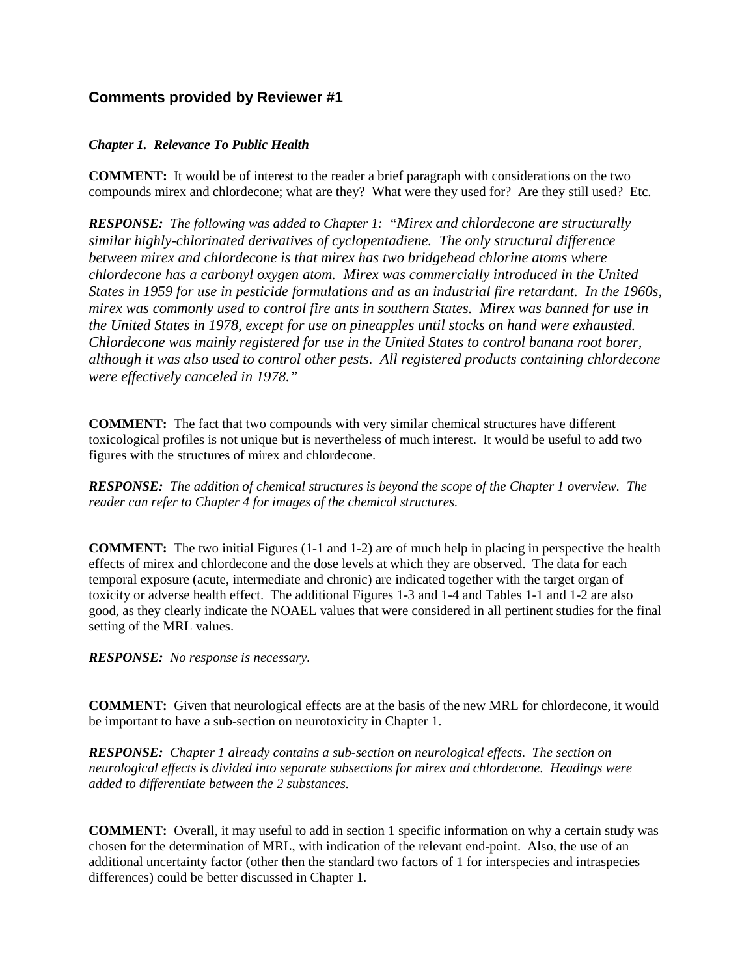# **Comments provided by Reviewer #1**

## *Chapter 1. Relevance To Public Health*

**COMMENT:** It would be of interest to the reader a brief paragraph with considerations on the two compounds mirex and chlordecone; what are they? What were they used for? Are they still used? Etc.

*RESPONSE: The following was added to Chapter 1: "Mirex and chlordecone are structurally similar highly-chlorinated derivatives of cyclopentadiene. The only structural difference between mirex and chlordecone is that mirex has two bridgehead chlorine atoms where chlordecone has a carbonyl oxygen atom. Mirex was commercially introduced in the United States in 1959 for use in pesticide formulations and as an industrial fire retardant. In the 1960s, mirex was commonly used to control fire ants in southern States. Mirex was banned for use in the United States in 1978, except for use on pineapples until stocks on hand were exhausted. Chlordecone was mainly registered for use in the United States to control banana root borer, although it was also used to control other pests. All registered products containing chlordecone were effectively canceled in 1978."*

**COMMENT:** The fact that two compounds with very similar chemical structures have different toxicological profiles is not unique but is nevertheless of much interest. It would be useful to add two figures with the structures of mirex and chlordecone.

*RESPONSE: The addition of chemical structures is beyond the scope of the Chapter 1 overview. The reader can refer to Chapter 4 for images of the chemical structures.*

**COMMENT:** The two initial Figures (1-1 and 1-2) are of much help in placing in perspective the health effects of mirex and chlordecone and the dose levels at which they are observed. The data for each temporal exposure (acute, intermediate and chronic) are indicated together with the target organ of toxicity or adverse health effect. The additional Figures 1-3 and 1-4 and Tables 1-1 and 1-2 are also good, as they clearly indicate the NOAEL values that were considered in all pertinent studies for the final setting of the MRL values.

*RESPONSE: No response is necessary.*

**COMMENT:** Given that neurological effects are at the basis of the new MRL for chlordecone, it would be important to have a sub-section on neurotoxicity in Chapter 1.

*RESPONSE: Chapter 1 already contains a sub-section on neurological effects. The section on neurological effects is divided into separate subsections for mirex and chlordecone. Headings were added to differentiate between the 2 substances.* 

**COMMENT:** Overall, it may useful to add in section 1 specific information on why a certain study was chosen for the determination of MRL, with indication of the relevant end-point. Also, the use of an additional uncertainty factor (other then the standard two factors of 1 for interspecies and intraspecies differences) could be better discussed in Chapter 1.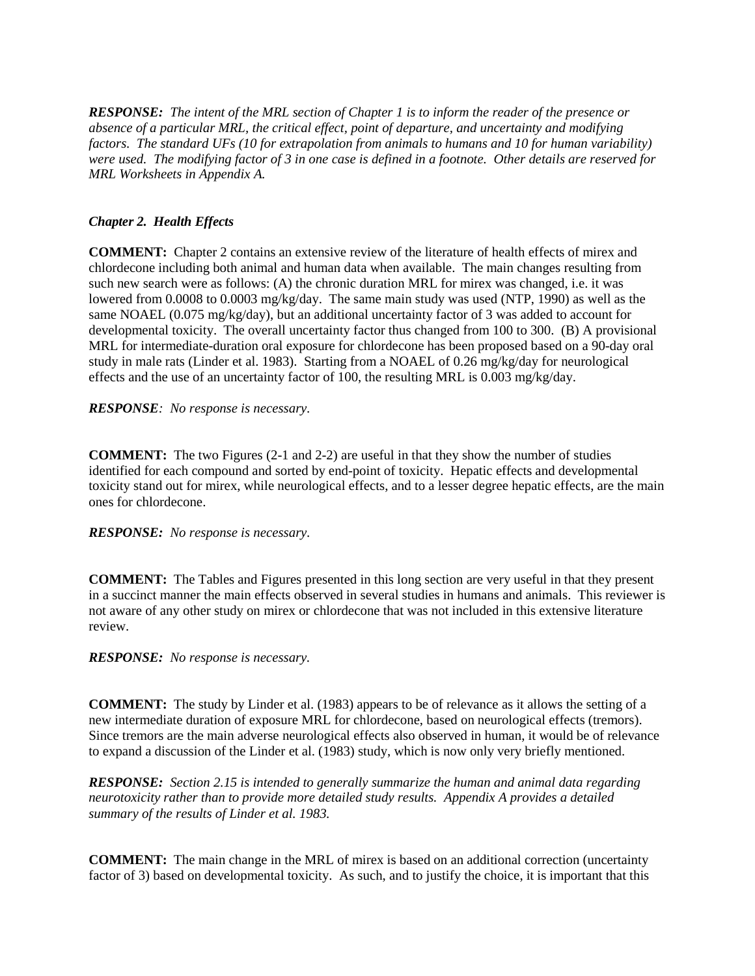*RESPONSE: The intent of the MRL section of Chapter 1 is to inform the reader of the presence or absence of a particular MRL, the critical effect, point of departure, and uncertainty and modifying factors. The standard UFs (10 for extrapolation from animals to humans and 10 for human variability) were used. The modifying factor of 3 in one case is defined in a footnote. Other details are reserved for MRL Worksheets in Appendix A.*

## *Chapter 2. Health Effects*

**COMMENT:** Chapter 2 contains an extensive review of the literature of health effects of mirex and chlordecone including both animal and human data when available. The main changes resulting from such new search were as follows: (A) the chronic duration MRL for mirex was changed, i.e. it was lowered from 0.0008 to 0.0003 mg/kg/day. The same main study was used (NTP, 1990) as well as the same NOAEL (0.075 mg/kg/day), but an additional uncertainty factor of 3 was added to account for developmental toxicity. The overall uncertainty factor thus changed from 100 to 300. (B) A provisional MRL for intermediate-duration oral exposure for chlordecone has been proposed based on a 90-day oral study in male rats (Linder et al. 1983). Starting from a NOAEL of 0.26 mg/kg/day for neurological effects and the use of an uncertainty factor of 100, the resulting MRL is 0.003 mg/kg/day.

## *RESPONSE: No response is necessary.*

**COMMENT:** The two Figures (2-1 and 2-2) are useful in that they show the number of studies identified for each compound and sorted by end-point of toxicity. Hepatic effects and developmental toxicity stand out for mirex, while neurological effects, and to a lesser degree hepatic effects, are the main ones for chlordecone.

### *RESPONSE: No response is necessary.*

**COMMENT:** The Tables and Figures presented in this long section are very useful in that they present in a succinct manner the main effects observed in several studies in humans and animals. This reviewer is not aware of any other study on mirex or chlordecone that was not included in this extensive literature review.

## *RESPONSE: No response is necessary.*

**COMMENT:** The study by Linder et al. (1983) appears to be of relevance as it allows the setting of a new intermediate duration of exposure MRL for chlordecone, based on neurological effects (tremors). Since tremors are the main adverse neurological effects also observed in human, it would be of relevance to expand a discussion of the Linder et al. (1983) study, which is now only very briefly mentioned.

*RESPONSE: Section 2.15 is intended to generally summarize the human and animal data regarding neurotoxicity rather than to provide more detailed study results. Appendix A provides a detailed summary of the results of Linder et al. 1983.* 

**COMMENT:** The main change in the MRL of mirex is based on an additional correction (uncertainty factor of 3) based on developmental toxicity. As such, and to justify the choice, it is important that this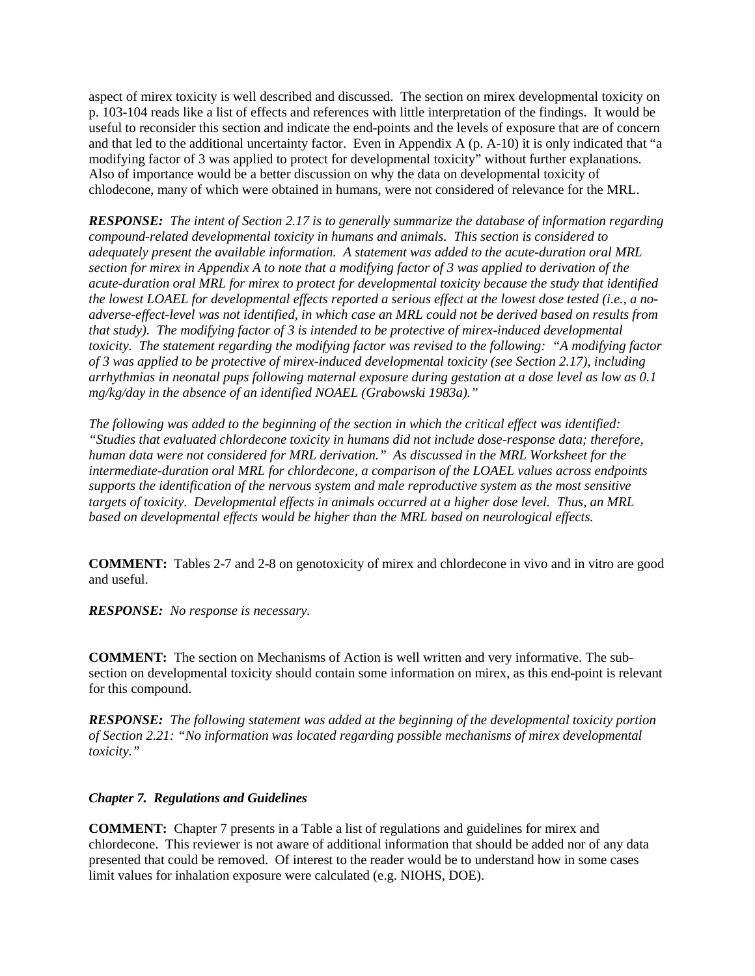aspect of mirex toxicity is well described and discussed. The section on mirex developmental toxicity on p. 103-104 reads like a list of effects and references with little interpretation of the findings. It would be useful to reconsider this section and indicate the end-points and the levels of exposure that are of concern and that led to the additional uncertainty factor. Even in Appendix A (p. A-10) it is only indicated that "a modifying factor of 3 was applied to protect for developmental toxicity" without further explanations. Also of importance would be a better discussion on why the data on developmental toxicity of chlodecone, many of which were obtained in humans, were not considered of relevance for the MRL.

*RESPONSE: The intent of Section 2.17 is to generally summarize the database of information regarding compound-related developmental toxicity in humans and animals. This section is considered to adequately present the available information. A statement was added to the acute-duration oral MRL section for mirex in Appendix A to note that a modifying factor of 3 was applied to derivation of the acute-duration oral MRL for mirex to protect for developmental toxicity because the study that identified the lowest LOAEL for developmental effects reported a serious effect at the lowest dose tested (i.e., a noadverse-effect-level was not identified, in which case an MRL could not be derived based on results from that study). The modifying factor of 3 is intended to be protective of mirex-induced developmental toxicity. The statement regarding the modifying factor was revised to the following: "A modifying factor of 3 was applied to be protective of mirex-induced developmental toxicity (see Section 2.17), including arrhythmias in neonatal pups following maternal exposure during gestation at a dose level as low as 0.1 mg/kg/day in the absence of an identified NOAEL (Grabowski 1983a)."* 

*The following was added to the beginning of the section in which the critical effect was identified: "Studies that evaluated chlordecone toxicity in humans did not include dose-response data; therefore, human data were not considered for MRL derivation." As discussed in the MRL Worksheet for the intermediate-duration oral MRL for chlordecone, a comparison of the LOAEL values across endpoints supports the identification of the nervous system and male reproductive system as the most sensitive targets of toxicity. Developmental effects in animals occurred at a higher dose level. Thus, an MRL based on developmental effects would be higher than the MRL based on neurological effects.* 

**COMMENT:** Tables 2-7 and 2-8 on genotoxicity of mirex and chlordecone in vivo and in vitro are good and useful.

*RESPONSE: No response is necessary.* 

**COMMENT:** The section on Mechanisms of Action is well written and very informative. The subsection on developmental toxicity should contain some information on mirex, as this end-point is relevant for this compound.

*RESPONSE: The following statement was added at the beginning of the developmental toxicity portion of Section 2.21: "No information was located regarding possible mechanisms of mirex developmental toxicity."*

#### *Chapter 7. Regulations and Guidelines*

**COMMENT:** Chapter 7 presents in a Table a list of regulations and guidelines for mirex and chlordecone. This reviewer is not aware of additional information that should be added nor of any data presented that could be removed. Of interest to the reader would be to understand how in some cases limit values for inhalation exposure were calculated (e.g. NIOHS, DOE).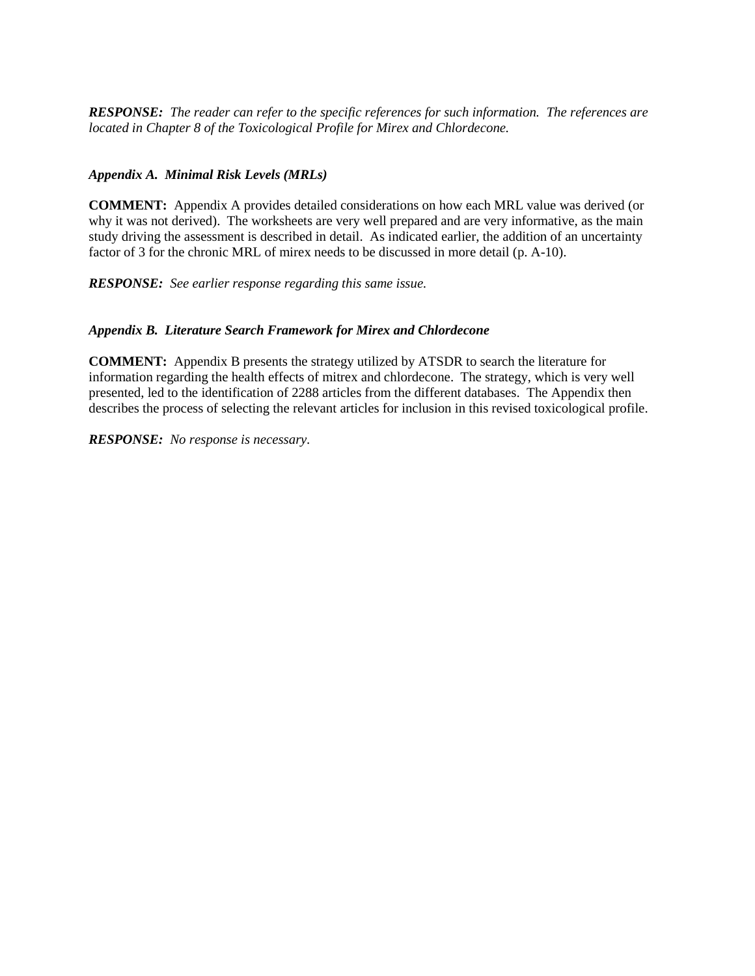*RESPONSE: The reader can refer to the specific references for such information. The references are located in Chapter 8 of the Toxicological Profile for Mirex and Chlordecone.*

#### *Appendix A. Minimal Risk Levels (MRLs)*

**COMMENT:** Appendix A provides detailed considerations on how each MRL value was derived (or why it was not derived). The worksheets are very well prepared and are very informative, as the main study driving the assessment is described in detail. As indicated earlier, the addition of an uncertainty factor of 3 for the chronic MRL of mirex needs to be discussed in more detail (p. A-10).

*RESPONSE: See earlier response regarding this same issue.*

#### *Appendix B. Literature Search Framework for Mirex and Chlordecone*

**COMMENT:** Appendix B presents the strategy utilized by ATSDR to search the literature for information regarding the health effects of mitrex and chlordecone. The strategy, which is very well presented, led to the identification of 2288 articles from the different databases. The Appendix then describes the process of selecting the relevant articles for inclusion in this revised toxicological profile.

*RESPONSE: No response is necessary.*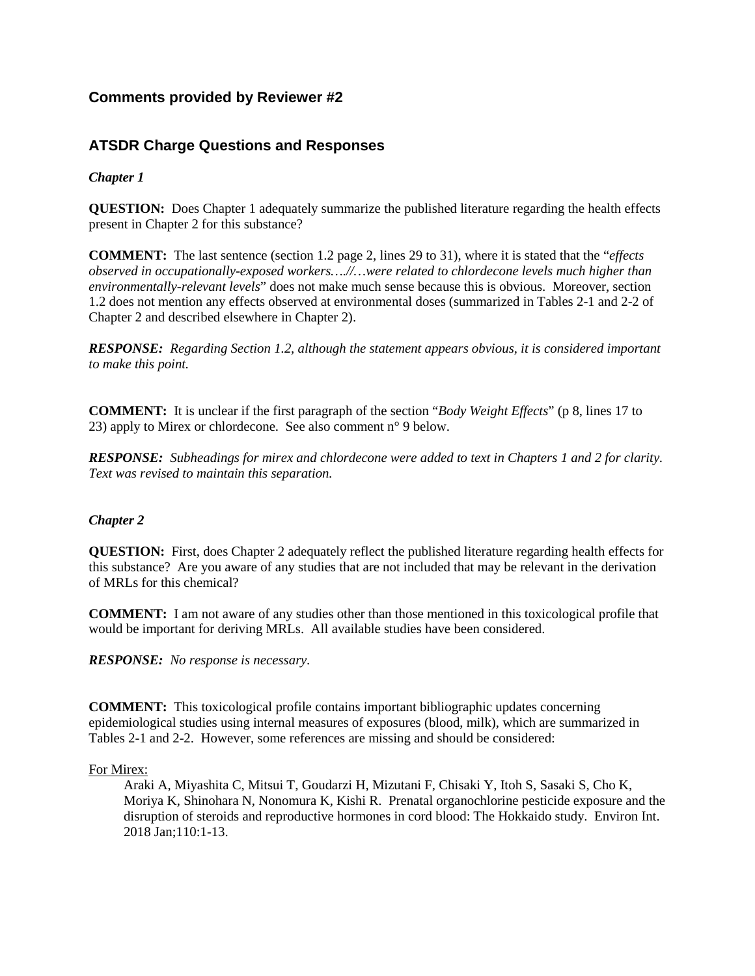# **Comments provided by Reviewer #2**

# **ATSDR Charge Questions and Responses**

## *Chapter 1*

**QUESTION:** Does Chapter 1 adequately summarize the published literature regarding the health effects present in Chapter 2 for this substance?

**COMMENT:** The last sentence (section 1.2 page 2, lines 29 to 31), where it is stated that the "*effects observed in occupationally-exposed workers….//…were related to chlordecone levels much higher than environmentally-relevant levels*" does not make much sense because this is obvious. Moreover, section 1.2 does not mention any effects observed at environmental doses (summarized in Tables 2-1 and 2-2 of Chapter 2 and described elsewhere in Chapter 2).

*RESPONSE: Regarding Section 1.2, although the statement appears obvious, it is considered important to make this point.*

**COMMENT:** It is unclear if the first paragraph of the section "*Body Weight Effects*" (p 8, lines 17 to 23) apply to Mirex or chlordecone. See also comment n° 9 below.

*RESPONSE: Subheadings for mirex and chlordecone were added to text in Chapters 1 and 2 for clarity. Text was revised to maintain this separation.*

### *Chapter 2*

**QUESTION:** First, does Chapter 2 adequately reflect the published literature regarding health effects for this substance? Are you aware of any studies that are not included that may be relevant in the derivation of MRLs for this chemical?

**COMMENT:** I am not aware of any studies other than those mentioned in this toxicological profile that would be important for deriving MRLs. All available studies have been considered.

*RESPONSE: No response is necessary.*

**COMMENT:** This toxicological profile contains important bibliographic updates concerning epidemiological studies using internal measures of exposures (blood, milk), which are summarized in Tables 2-1 and 2-2. However, some references are missing and should be considered:

#### For Mirex:

Araki A, Miyashita C, Mitsui T, Goudarzi H, Mizutani F, Chisaki Y, Itoh S, Sasaki S, Cho K, Moriya K, Shinohara N, Nonomura K, Kishi R. Prenatal organochlorine pesticide exposure and the disruption of steroids and reproductive hormones in cord blood: The Hokkaido study. Environ Int. 2018 Jan;110:1-13.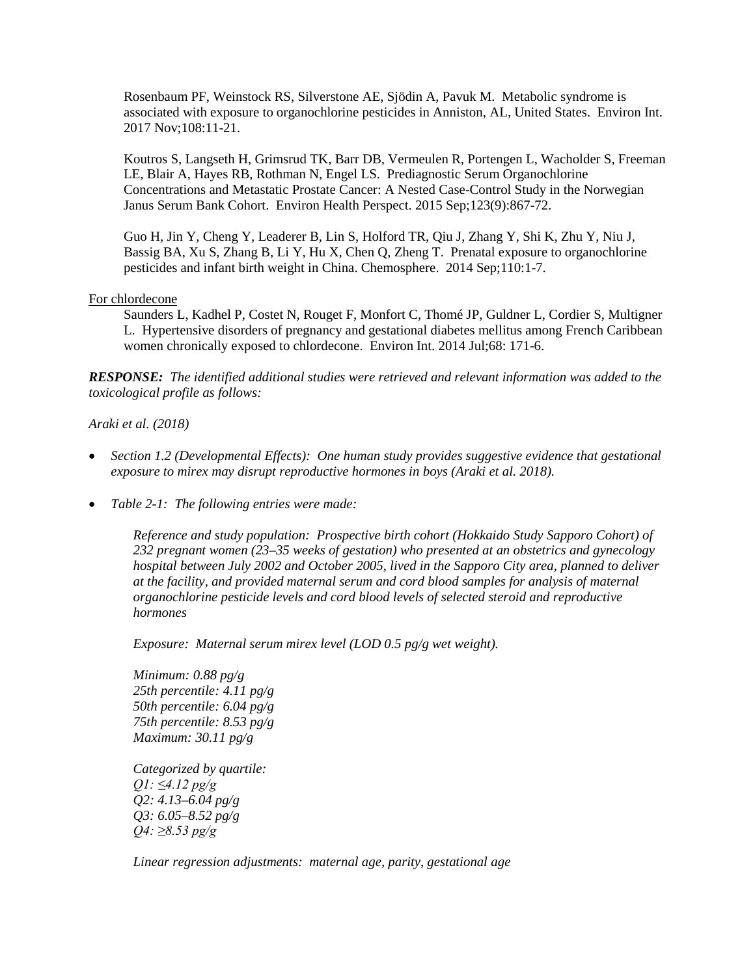Rosenbaum PF, Weinstock RS, Silverstone AE, Sjödin A, Pavuk M. Metabolic syndrome is associated with exposure to organochlorine pesticides in Anniston, AL, United States. Environ Int. 2017 Nov;108:11-21.

Koutros S, Langseth H, Grimsrud TK, Barr DB, Vermeulen R, Portengen L, Wacholder S, Freeman LE, Blair A, Hayes RB, Rothman N, Engel LS. Prediagnostic Serum Organochlorine Concentrations and Metastatic Prostate Cancer: A Nested Case-Control Study in the Norwegian Janus Serum Bank Cohort. Environ Health Perspect. 2015 Sep;123(9):867-72.

Guo H, Jin Y, Cheng Y, Leaderer B, Lin S, Holford TR, Qiu J, Zhang Y, Shi K, Zhu Y, Niu J, Bassig BA, Xu S, Zhang B, Li Y, Hu X, Chen Q, Zheng T. Prenatal exposure to organochlorine pesticides and infant birth weight in China. Chemosphere. 2014 Sep;110:1-7.

#### For chlordecone

Saunders L, Kadhel P, Costet N, Rouget F, Monfort C, Thomé JP, Guldner L, Cordier S, Multigner L. Hypertensive disorders of pregnancy and gestational diabetes mellitus among French Caribbean women chronically exposed to chlordecone. Environ Int. 2014 Jul;68: 171-6.

*RESPONSE: The identified additional studies were retrieved and relevant information was added to the toxicological profile as follows:*

#### *Araki et al. (2018)*

- *Section 1.2 (Developmental Effects): One human study provides suggestive evidence that gestational exposure to mirex may disrupt reproductive hormones in boys (Araki et al. 2018).*
- *Table 2-1: The following entries were made:*

*Reference and study population: Prospective birth cohort (Hokkaido Study Sapporo Cohort) of 232 pregnant women (23–35 weeks of gestation) who presented at an obstetrics and gynecology hospital between July 2002 and October 2005, lived in the Sapporo City area, planned to deliver at the facility, and provided maternal serum and cord blood samples for analysis of maternal organochlorine pesticide levels and cord blood levels of selected steroid and reproductive hormones* 

*Exposure: Maternal serum mirex level (LOD 0.5 pg/g wet weight).* 

*Minimum: 0.88 pg/g 25th percentile: 4.11 pg/g 50th percentile: 6.04 pg/g 75th percentile: 8.53 pg/g Maximum: 30.11 pg/g*

*Categorized by quartile: Q1: ≤4.12 pg/g Q2: 4.13–6.04 pg/g Q3: 6.05–8.52 pg/g Q4: ≥8.53 pg/g*

*Linear regression adjustments: maternal age, parity, gestational age*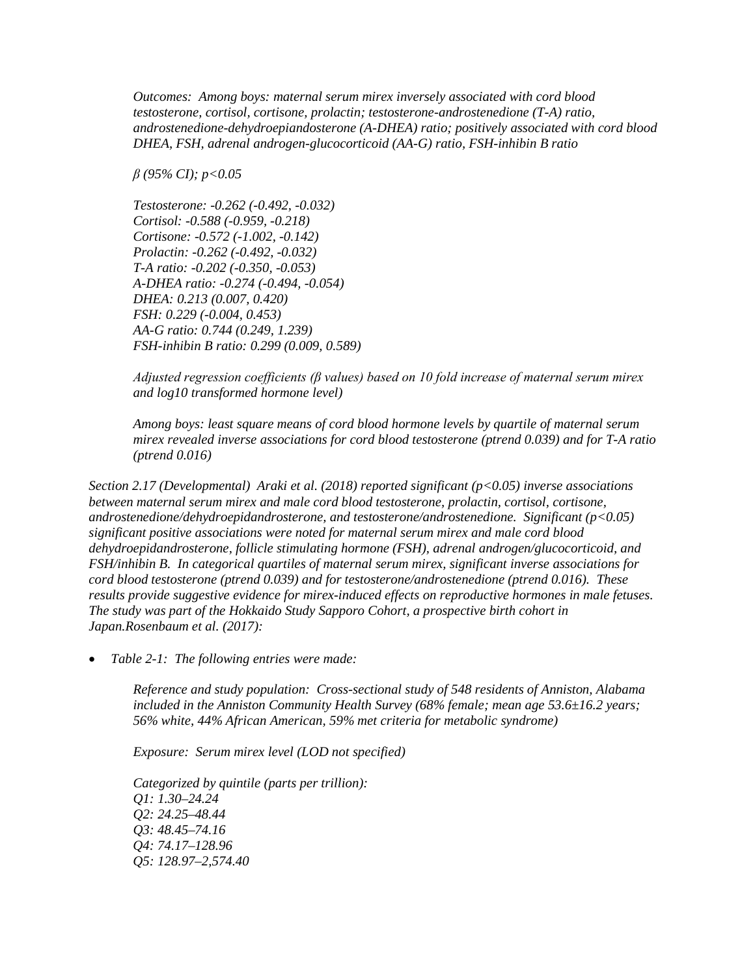*Outcomes: Among boys: maternal serum mirex inversely associated with cord blood testosterone, cortisol, cortisone, prolactin; testosterone-androstenedione (T-A) ratio, androstenedione-dehydroepiandosterone (A-DHEA) ratio; positively associated with cord blood DHEA, FSH, adrenal androgen-glucocorticoid (AA-G) ratio, FSH-inhibin B ratio*

*β (95% CI); p<0.05* 

*Testosterone: -0.262 (-0.492, -0.032) Cortisol: -0.588 (-0.959, -0.218) Cortisone: -0.572 (-1.002, -0.142) Prolactin: -0.262 (-0.492, -0.032) T-A ratio: -0.202 (-0.350, -0.053) A-DHEA ratio: -0.274 (-0.494, -0.054) DHEA: 0.213 (0.007, 0.420) FSH: 0.229 (-0.004, 0.453) AA-G ratio: 0.744 (0.249, 1.239) FSH-inhibin B ratio: 0.299 (0.009, 0.589)* 

*Adjusted regression coefficients (β values) based on 10 fold increase of maternal serum mirex and log10 transformed hormone level)* 

*Among boys: least square means of cord blood hormone levels by quartile of maternal serum mirex revealed inverse associations for cord blood testosterone (ptrend 0.039) and for T-A ratio (ptrend 0.016)* 

*Section 2.17 (Developmental) Araki et al. (2018) reported significant (p<0.05) inverse associations between maternal serum mirex and male cord blood testosterone, prolactin, cortisol, cortisone, androstenedione/dehydroepidandrosterone, and testosterone/androstenedione. Significant (p<0.05) significant positive associations were noted for maternal serum mirex and male cord blood dehydroepidandrosterone, follicle stimulating hormone (FSH), adrenal androgen/glucocorticoid, and FSH/inhibin B. In categorical quartiles of maternal serum mirex, significant inverse associations for cord blood testosterone (ptrend 0.039) and for testosterone/androstenedione (ptrend 0.016). These results provide suggestive evidence for mirex-induced effects on reproductive hormones in male fetuses. The study was part of the Hokkaido Study Sapporo Cohort, a prospective birth cohort in Japan.Rosenbaum et al. (2017):* 

• *Table 2-1: The following entries were made:* 

*Reference and study population: Cross-sectional study of 548 residents of Anniston, Alabama included in the Anniston Community Health Survey (68% female; mean age 53.6±16.2 years; 56% white, 44% African American, 59% met criteria for metabolic syndrome)* 

*Exposure: Serum mirex level (LOD not specified)*

*Categorized by quintile (parts per trillion): Q1: 1.30–24.24 Q2: 24.25–48.44 Q3: 48.45–74.16 Q4: 74.17–128.96 Q5: 128.97–2,574.40*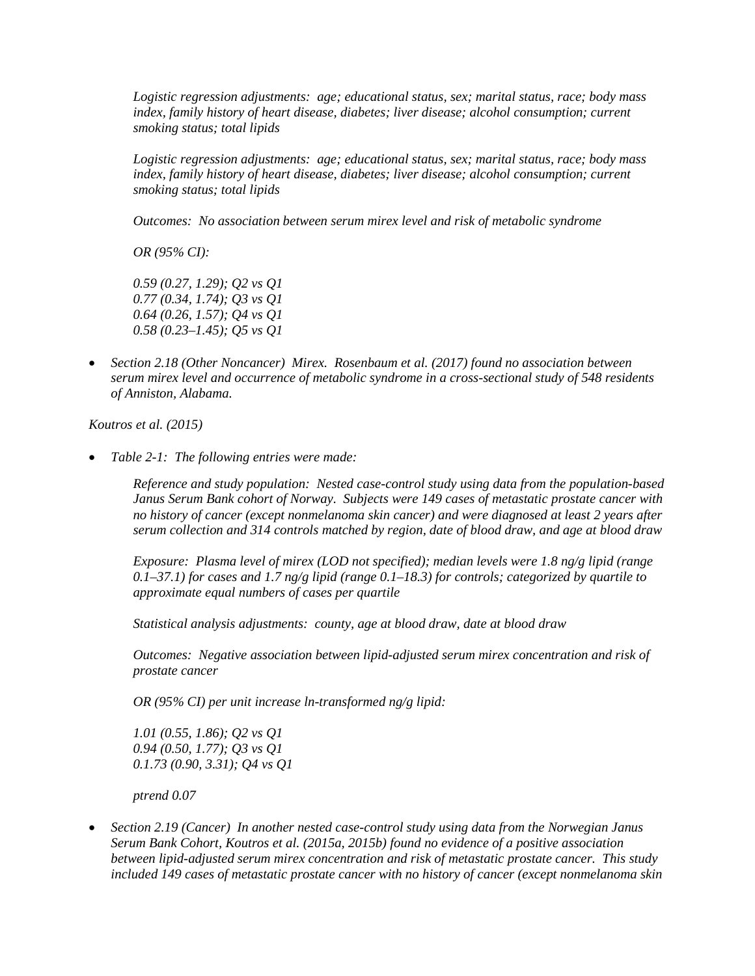*Logistic regression adjustments: age; educational status, sex; marital status, race; body mass index, family history of heart disease, diabetes; liver disease; alcohol consumption; current smoking status; total lipids*

*Logistic regression adjustments: age; educational status, sex; marital status, race; body mass index, family history of heart disease, diabetes; liver disease; alcohol consumption; current smoking status; total lipids*

*Outcomes: No association between serum mirex level and risk of metabolic syndrome*

*OR (95% CI):*

*0.59 (0.27, 1.29); Q2 vs Q1 0.77 (0.34, 1.74); Q3 vs Q1 0.64 (0.26, 1.57); Q4 vs Q1 0.58 (0.23–1.45); Q5 vs Q1* 

• *Section 2.18 (Other Noncancer) Mirex. Rosenbaum et al. (2017) found no association between serum mirex level and occurrence of metabolic syndrome in a cross-sectional study of 548 residents of Anniston, Alabama.* 

*Koutros et al. (2015)* 

• *Table 2-1: The following entries were made:* 

*Reference and study population: Nested case-control study using data from the population-based Janus Serum Bank cohort of Norway. Subjects were 149 cases of metastatic prostate cancer with no history of cancer (except nonmelanoma skin cancer) and were diagnosed at least 2 years after serum collection and 314 controls matched by region, date of blood draw, and age at blood draw* 

*Exposure: Plasma level of mirex (LOD not specified); median levels were 1.8 ng/g lipid (range 0.1–37.1) for cases and 1.7 ng/g lipid (range 0.1–18.3) for controls; categorized by quartile to approximate equal numbers of cases per quartile* 

*Statistical analysis adjustments: county, age at blood draw, date at blood draw* 

*Outcomes: Negative association between lipid-adjusted serum mirex concentration and risk of prostate cancer*

*OR (95% CI) per unit increase ln-transformed ng/g lipid:*

*1.01 (0.55, 1.86); Q2 vs Q1 0.94 (0.50, 1.77); Q3 vs Q1 0.1.73 (0.90, 3.31); Q4 vs Q1* 

*ptrend 0.07* 

• *Section 2.19 (Cancer) In another nested case-control study using data from the Norwegian Janus Serum Bank Cohort, Koutros et al. (2015a, 2015b) found no evidence of a positive association between lipid-adjusted serum mirex concentration and risk of metastatic prostate cancer. This study included 149 cases of metastatic prostate cancer with no history of cancer (except nonmelanoma skin*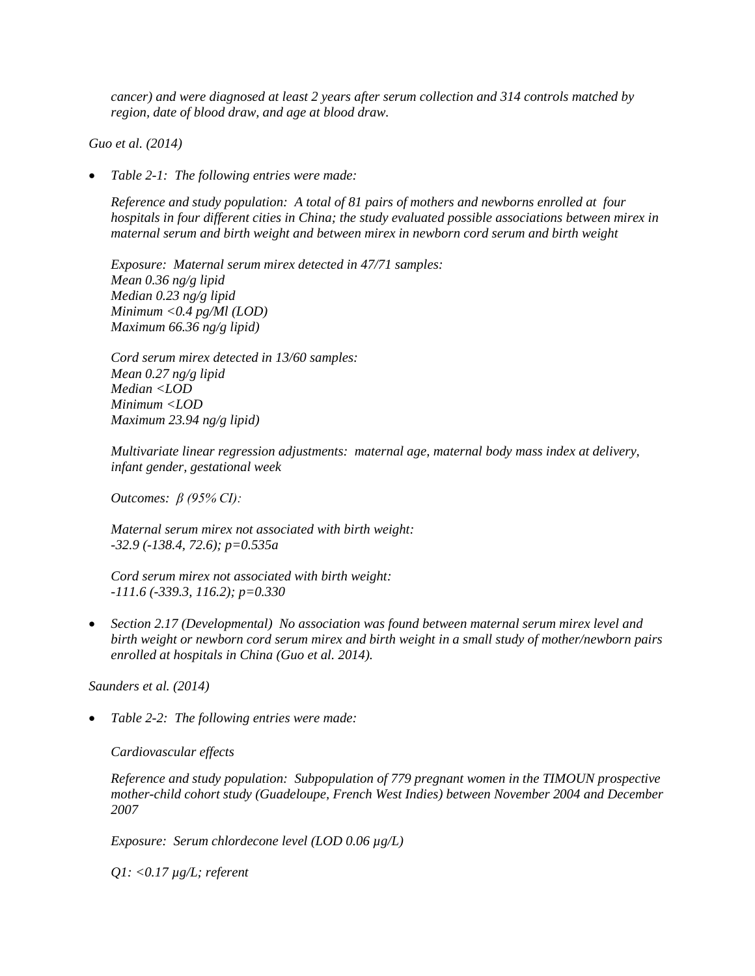*cancer) and were diagnosed at least 2 years after serum collection and 314 controls matched by region, date of blood draw, and age at blood draw.* 

*Guo et al. (2014)* 

• *Table 2-1: The following entries were made:* 

*Reference and study population: A total of 81 pairs of mothers and newborns enrolled at four hospitals in four different cities in China; the study evaluated possible associations between mirex in maternal serum and birth weight and between mirex in newborn cord serum and birth weight* 

*Exposure: Maternal serum mirex detected in 47/71 samples: Mean 0.36 ng/g lipid Median 0.23 ng/g lipid Minimum <0.4 pg/Ml (LOD) Maximum 66.36 ng/g lipid)* 

*Cord serum mirex detected in 13/60 samples: Mean 0.27 ng/g lipid Median <LOD Minimum <LOD Maximum 23.94 ng/g lipid)* 

*Multivariate linear regression adjustments: maternal age, maternal body mass index at delivery, infant gender, gestational week* 

*Outcomes: β (95% CI):*

*Maternal serum mirex not associated with birth weight: -32.9 (-138.4, 72.6); p=0.535a* 

*Cord serum mirex not associated with birth weight: -111.6 (-339.3, 116.2); p=0.330* 

• *Section 2.17 (Developmental) No association was found between maternal serum mirex level and birth weight or newborn cord serum mirex and birth weight in a small study of mother/newborn pairs enrolled at hospitals in China (Guo et al. 2014).* 

*Saunders et al. (2014)* 

• *Table 2-2: The following entries were made:* 

*Cardiovascular effects*

*Reference and study population: Subpopulation of 779 pregnant women in the TIMOUN prospective mother-child cohort study (Guadeloupe, French West Indies) between November 2004 and December 2007* 

*Exposure: Serum chlordecone level (LOD 0.06 µg/L)* 

*Q1: <0.17 µg/L; referent*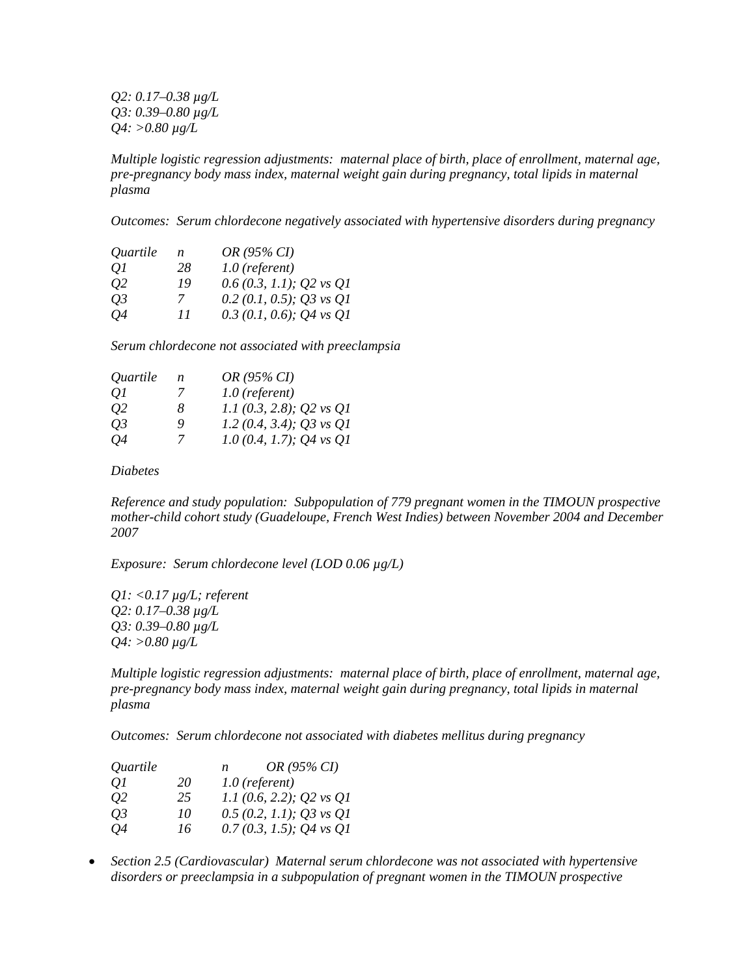*Q2: 0.17–0.38 µg/L Q3: 0.39–0.80 µg/L Q4: >0.80 µg/L* 

*Multiple logistic regression adjustments: maternal place of birth, place of enrollment, maternal age, pre-pregnancy body mass index, maternal weight gain during pregnancy, total lipids in maternal plasma* 

*Outcomes: Serum chlordecone negatively associated with hypertensive disorders during pregnancy* 

| Quartile | n  | OR (95% CI)               |
|----------|----|---------------------------|
| 01       | 28 | $1.0$ (referent)          |
| 02       | 19 | $0.6(0.3, 1.1);$ Q2 vs Q1 |
| 03       | 7  | 0.2 (0.1, 0.5); Q3 vs Q1  |
| 04       | 11 | 0.3 (0.1, 0.6); Q4 vs Q1  |

*Serum chlordecone not associated with preeclampsia*

| Quartile  | n | OR (95% CI)                |
|-----------|---|----------------------------|
| 01        | 7 | $1.0$ (referent)           |
| 02        | 8 | 1.1 (0.3, 2.8); Q2 vs $Q1$ |
| <i>O3</i> | 9 | 1.2 (0.4, 3.4); Q3 vs Q1   |
| 04        | 7 | 1.0 (0.4, 1.7); Q4 vs Q1   |

*Diabetes* 

*Reference and study population: Subpopulation of 779 pregnant women in the TIMOUN prospective mother-child cohort study (Guadeloupe, French West Indies) between November 2004 and December 2007* 

*Exposure: Serum chlordecone level (LOD 0.06 µg/L)* 

*Q1: <0.17 µg/L; referent Q2: 0.17–0.38 µg/L Q3: 0.39–0.80 µg/L Q4: >0.80 µg/L* 

*Multiple logistic regression adjustments: maternal place of birth, place of enrollment, maternal age, pre-pregnancy body mass index, maternal weight gain during pregnancy, total lipids in maternal plasma* 

*Outcomes: Serum chlordecone not associated with diabetes mellitus during pregnancy* 

| Quartile |    | n | OR (95% CI)               |
|----------|----|---|---------------------------|
| 01       | 20 |   | $1.0$ (referent)          |
| 02       | 25 |   | 1.1 (0.6, 2.2); Q2 vs Q1  |
| О3       | 10 |   | $0.5(0.2, 1.1);$ Q3 vs Q1 |
| Q4       | 16 |   | $0.7(0.3, 1.5);$ Q4 vs Q1 |

• *Section 2.5 (Cardiovascular) Maternal serum chlordecone was not associated with hypertensive disorders or preeclampsia in a subpopulation of pregnant women in the TIMOUN prospective*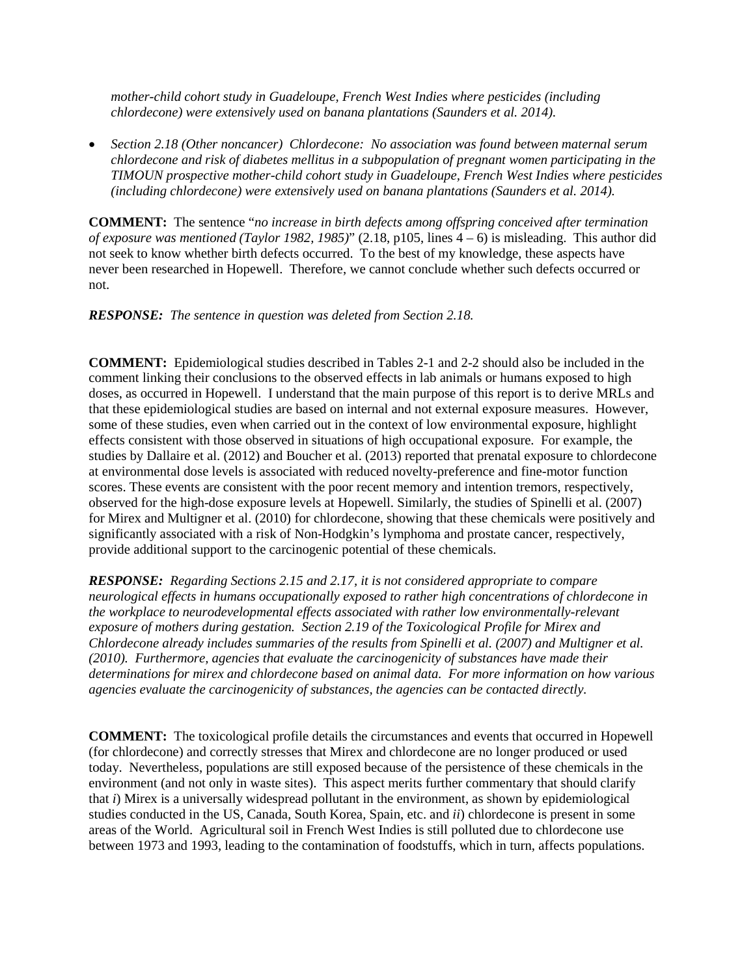*mother-child cohort study in Guadeloupe, French West Indies where pesticides (including chlordecone) were extensively used on banana plantations (Saunders et al. 2014).* 

• *Section 2.18 (Other noncancer) Chlordecone: No association was found between maternal serum chlordecone and risk of diabetes mellitus in a subpopulation of pregnant women participating in the TIMOUN prospective mother-child cohort study in Guadeloupe, French West Indies where pesticides (including chlordecone) were extensively used on banana plantations (Saunders et al. 2014).* 

**COMMENT:** The sentence "*no increase in birth defects among offspring conceived after termination of exposure was mentioned (Taylor 1982, 1985)*" (2.18, p105, lines 4 – 6) is misleading. This author did not seek to know whether birth defects occurred. To the best of my knowledge, these aspects have never been researched in Hopewell. Therefore, we cannot conclude whether such defects occurred or not.

*RESPONSE: The sentence in question was deleted from Section 2.18.* 

**COMMENT:** Epidemiological studies described in Tables 2-1 and 2-2 should also be included in the comment linking their conclusions to the observed effects in lab animals or humans exposed to high doses, as occurred in Hopewell. I understand that the main purpose of this report is to derive MRLs and that these epidemiological studies are based on internal and not external exposure measures. However, some of these studies, even when carried out in the context of low environmental exposure, highlight effects consistent with those observed in situations of high occupational exposure. For example, the studies by Dallaire et al. (2012) and Boucher et al. (2013) reported that prenatal exposure to chlordecone at environmental dose levels is associated with reduced novelty-preference and fine-motor function scores. These events are consistent with the poor recent memory and intention tremors, respectively, observed for the high-dose exposure levels at Hopewell. Similarly, the studies of Spinelli et al. (2007) for Mirex and Multigner et al. (2010) for chlordecone, showing that these chemicals were positively and significantly associated with a risk of Non-Hodgkin's lymphoma and prostate cancer, respectively, provide additional support to the carcinogenic potential of these chemicals.

*RESPONSE: Regarding Sections 2.15 and 2.17, it is not considered appropriate to compare neurological effects in humans occupationally exposed to rather high concentrations of chlordecone in the workplace to neurodevelopmental effects associated with rather low environmentally-relevant exposure of mothers during gestation. Section 2.19 of the Toxicological Profile for Mirex and Chlordecone already includes summaries of the results from Spinelli et al. (2007) and Multigner et al. (2010). Furthermore, agencies that evaluate the carcinogenicity of substances have made their determinations for mirex and chlordecone based on animal data. For more information on how various agencies evaluate the carcinogenicity of substances, the agencies can be contacted directly.*

**COMMENT:** The toxicological profile details the circumstances and events that occurred in Hopewell (for chlordecone) and correctly stresses that Mirex and chlordecone are no longer produced or used today. Nevertheless, populations are still exposed because of the persistence of these chemicals in the environment (and not only in waste sites). This aspect merits further commentary that should clarify that *i*) Mirex is a universally widespread pollutant in the environment, as shown by epidemiological studies conducted in the US, Canada, South Korea, Spain, etc. and *ii*) chlordecone is present in some areas of the World. Agricultural soil in French West Indies is still polluted due to chlordecone use between 1973 and 1993, leading to the contamination of foodstuffs, which in turn, affects populations.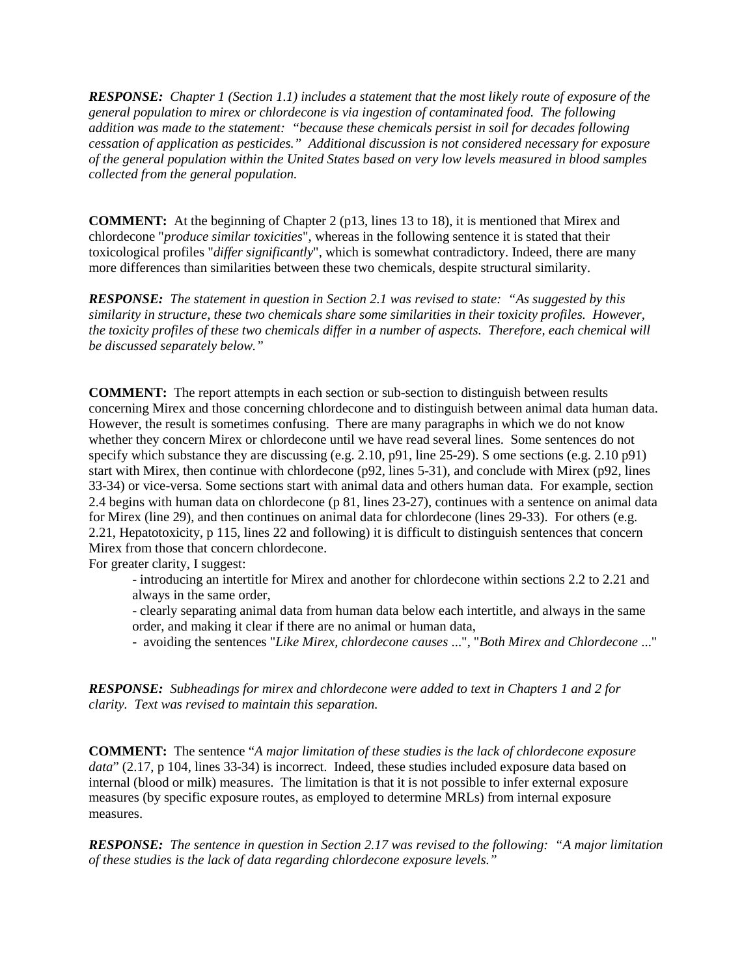*RESPONSE: Chapter 1 (Section 1.1) includes a statement that the most likely route of exposure of the general population to mirex or chlordecone is via ingestion of contaminated food. The following addition was made to the statement: "because these chemicals persist in soil for decades following cessation of application as pesticides." Additional discussion is not considered necessary for exposure of the general population within the United States based on very low levels measured in blood samples collected from the general population.*

**COMMENT:** At the beginning of Chapter 2 (p13, lines 13 to 18), it is mentioned that Mirex and chlordecone "*produce similar toxicities*", whereas in the following sentence it is stated that their toxicological profiles "*differ significantly*", which is somewhat contradictory. Indeed, there are many more differences than similarities between these two chemicals, despite structural similarity.

*RESPONSE: The statement in question in Section 2.1 was revised to state: "As suggested by this similarity in structure, these two chemicals share some similarities in their toxicity profiles. However, the toxicity profiles of these two chemicals differ in a number of aspects. Therefore, each chemical will be discussed separately below."* 

**COMMENT:** The report attempts in each section or sub-section to distinguish between results concerning Mirex and those concerning chlordecone and to distinguish between animal data human data. However, the result is sometimes confusing. There are many paragraphs in which we do not know whether they concern Mirex or chlordecone until we have read several lines. Some sentences do not specify which substance they are discussing (e.g. 2.10, p91, line 25-29). S ome sections (e.g. 2.10 p91) start with Mirex, then continue with chlordecone (p92, lines 5-31), and conclude with Mirex (p92, lines 33-34) or vice-versa. Some sections start with animal data and others human data. For example, section 2.4 begins with human data on chlordecone (p 81, lines 23-27), continues with a sentence on animal data for Mirex (line 29), and then continues on animal data for chlordecone (lines 29-33). For others (e.g. 2.21, Hepatotoxicity, p 115, lines 22 and following) it is difficult to distinguish sentences that concern Mirex from those that concern chlordecone.

For greater clarity, I suggest:

- introducing an intertitle for Mirex and another for chlordecone within sections 2.2 to 2.21 and always in the same order,

- clearly separating animal data from human data below each intertitle, and always in the same order, and making it clear if there are no animal or human data,

- avoiding the sentences "*Like Mirex, chlordecone causes* ...", "*Both Mirex and Chlordecone* ..."

*RESPONSE: Subheadings for mirex and chlordecone were added to text in Chapters 1 and 2 for clarity. Text was revised to maintain this separation.* 

**COMMENT:** The sentence "*A major limitation of these studies is the lack of chlordecone exposure data*" (2.17, p 104, lines 33-34) is incorrect. Indeed, these studies included exposure data based on internal (blood or milk) measures. The limitation is that it is not possible to infer external exposure measures (by specific exposure routes, as employed to determine MRLs) from internal exposure measures.

*RESPONSE: The sentence in question in Section 2.17 was revised to the following: "A major limitation of these studies is the lack of data regarding chlordecone exposure levels."*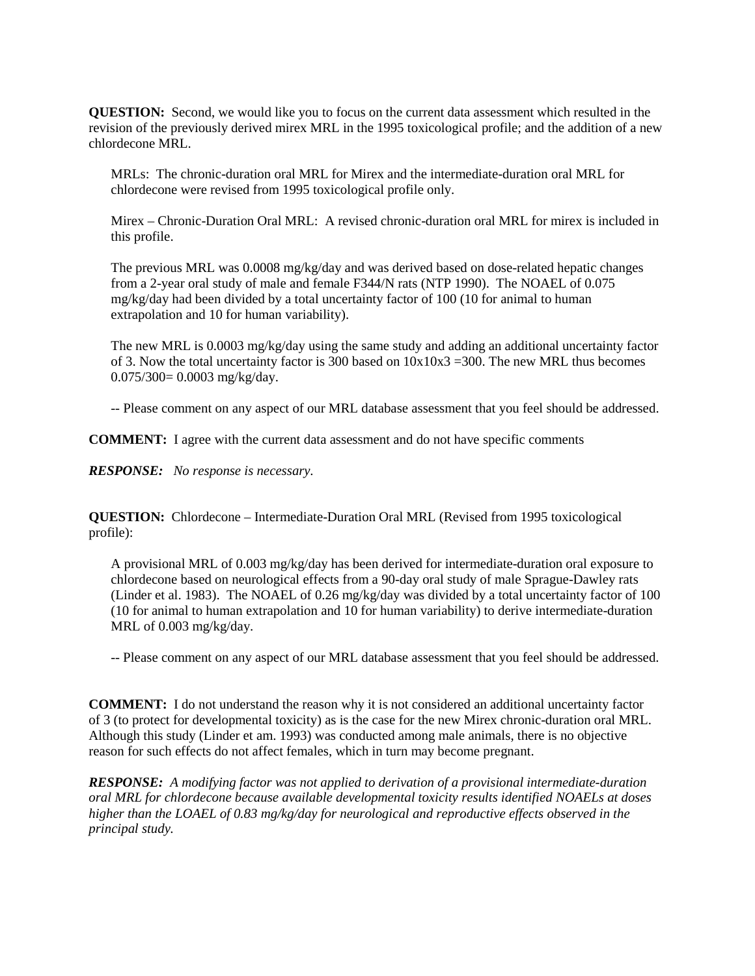**QUESTION:** Second, we would like you to focus on the current data assessment which resulted in the revision of the previously derived mirex MRL in the 1995 toxicological profile; and the addition of a new chlordecone MRL.

MRLs: The chronic-duration oral MRL for Mirex and the intermediate-duration oral MRL for chlordecone were revised from 1995 toxicological profile only.

Mirex – Chronic-Duration Oral MRL: A revised chronic-duration oral MRL for mirex is included in this profile.

The previous MRL was 0.0008 mg/kg/day and was derived based on dose-related hepatic changes from a 2-year oral study of male and female F344/N rats (NTP 1990). The NOAEL of 0.075 mg/kg/day had been divided by a total uncertainty factor of 100 (10 for animal to human extrapolation and 10 for human variability).

The new MRL is 0.0003 mg/kg/day using the same study and adding an additional uncertainty factor of 3. Now the total uncertainty factor is 300 based on  $10x10x3 = 300$ . The new MRL thus becomes 0.075/300= 0.0003 mg/kg/day.

-- Please comment on any aspect of our MRL database assessment that you feel should be addressed.

**COMMENT:** I agree with the current data assessment and do not have specific comments

*RESPONSE: No response is necessary.*

**QUESTION:** Chlordecone – Intermediate-Duration Oral MRL (Revised from 1995 toxicological profile):

A provisional MRL of 0.003 mg/kg/day has been derived for intermediate-duration oral exposure to chlordecone based on neurological effects from a 90-day oral study of male Sprague-Dawley rats (Linder et al. 1983). The NOAEL of 0.26 mg/kg/day was divided by a total uncertainty factor of 100 (10 for animal to human extrapolation and 10 for human variability) to derive intermediate-duration MRL of 0.003 mg/kg/day.

-- Please comment on any aspect of our MRL database assessment that you feel should be addressed.

**COMMENT:** I do not understand the reason why it is not considered an additional uncertainty factor of 3 (to protect for developmental toxicity) as is the case for the new Mirex chronic-duration oral MRL. Although this study (Linder et am. 1993) was conducted among male animals, there is no objective reason for such effects do not affect females, which in turn may become pregnant.

*RESPONSE: A modifying factor was not applied to derivation of a provisional intermediate-duration oral MRL for chlordecone because available developmental toxicity results identified NOAELs at doses higher than the LOAEL of 0.83 mg/kg/day for neurological and reproductive effects observed in the principal study.*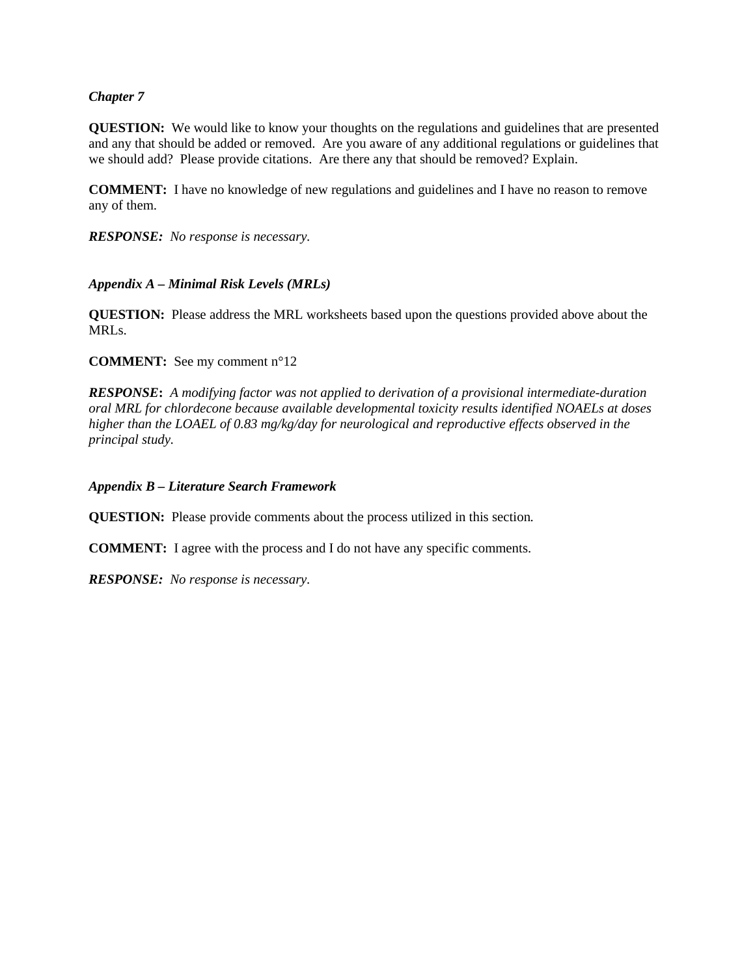### *Chapter 7*

**QUESTION:** We would like to know your thoughts on the regulations and guidelines that are presented and any that should be added or removed. Are you aware of any additional regulations or guidelines that we should add? Please provide citations. Are there any that should be removed? Explain.

**COMMENT:** I have no knowledge of new regulations and guidelines and I have no reason to remove any of them.

*RESPONSE: No response is necessary.*

#### *Appendix A – Minimal Risk Levels (MRLs)*

**QUESTION:** Please address the MRL worksheets based upon the questions provided above about the MRLs.

**COMMENT:** See my comment n°12

*RESPONSE***:** *A modifying factor was not applied to derivation of a provisional intermediate-duration oral MRL for chlordecone because available developmental toxicity results identified NOAELs at doses higher than the LOAEL of 0.83 mg/kg/day for neurological and reproductive effects observed in the principal study.*

*Appendix B – Literature Search Framework* 

**QUESTION:** Please provide comments about the process utilized in this section*.* 

**COMMENT:** I agree with the process and I do not have any specific comments.

*RESPONSE: No response is necessary.*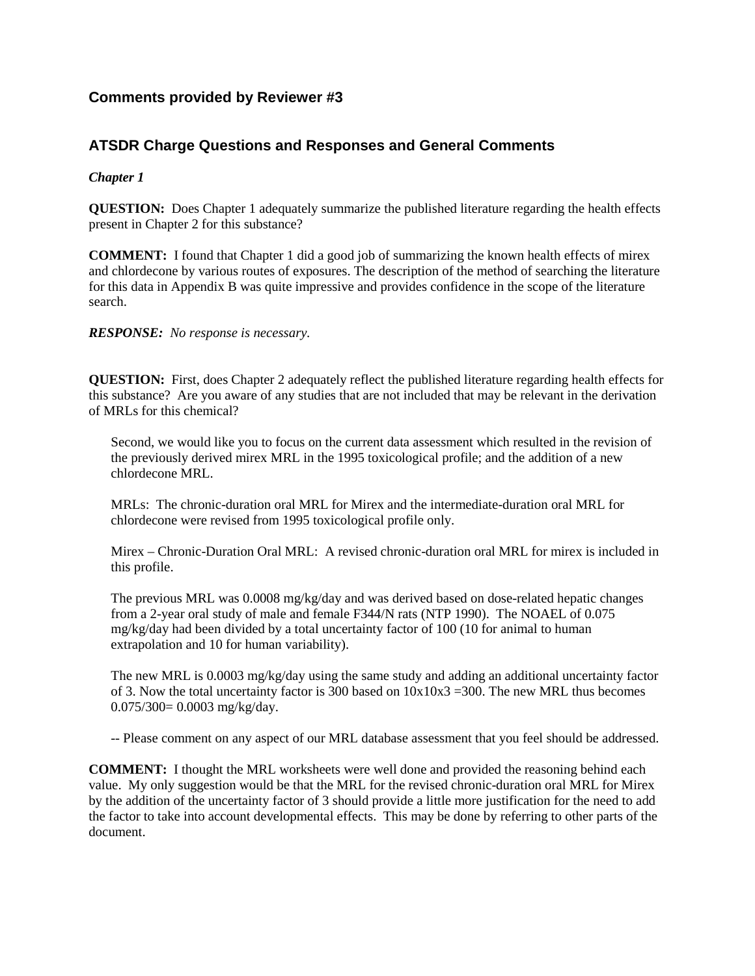# **Comments provided by Reviewer #3**

# **ATSDR Charge Questions and Responses and General Comments**

## *Chapter 1*

**QUESTION:** Does Chapter 1 adequately summarize the published literature regarding the health effects present in Chapter 2 for this substance?

**COMMENT:** I found that Chapter 1 did a good job of summarizing the known health effects of mirex and chlordecone by various routes of exposures. The description of the method of searching the literature for this data in Appendix B was quite impressive and provides confidence in the scope of the literature search.

*RESPONSE: No response is necessary.*

**QUESTION:** First, does Chapter 2 adequately reflect the published literature regarding health effects for this substance? Are you aware of any studies that are not included that may be relevant in the derivation of MRLs for this chemical?

Second, we would like you to focus on the current data assessment which resulted in the revision of the previously derived mirex MRL in the 1995 toxicological profile; and the addition of a new chlordecone MRL.

MRLs: The chronic-duration oral MRL for Mirex and the intermediate-duration oral MRL for chlordecone were revised from 1995 toxicological profile only.

Mirex – Chronic-Duration Oral MRL: A revised chronic-duration oral MRL for mirex is included in this profile.

The previous MRL was 0.0008 mg/kg/day and was derived based on dose-related hepatic changes from a 2-year oral study of male and female F344/N rats (NTP 1990). The NOAEL of 0.075 mg/kg/day had been divided by a total uncertainty factor of 100 (10 for animal to human extrapolation and 10 for human variability).

The new MRL is 0.0003 mg/kg/day using the same study and adding an additional uncertainty factor of 3. Now the total uncertainty factor is 300 based on  $10x10x3 = 300$ . The new MRL thus becomes 0.075/300= 0.0003 mg/kg/day.

-- Please comment on any aspect of our MRL database assessment that you feel should be addressed.

**COMMENT:** I thought the MRL worksheets were well done and provided the reasoning behind each value. My only suggestion would be that the MRL for the revised chronic-duration oral MRL for Mirex by the addition of the uncertainty factor of 3 should provide a little more justification for the need to add the factor to take into account developmental effects. This may be done by referring to other parts of the document.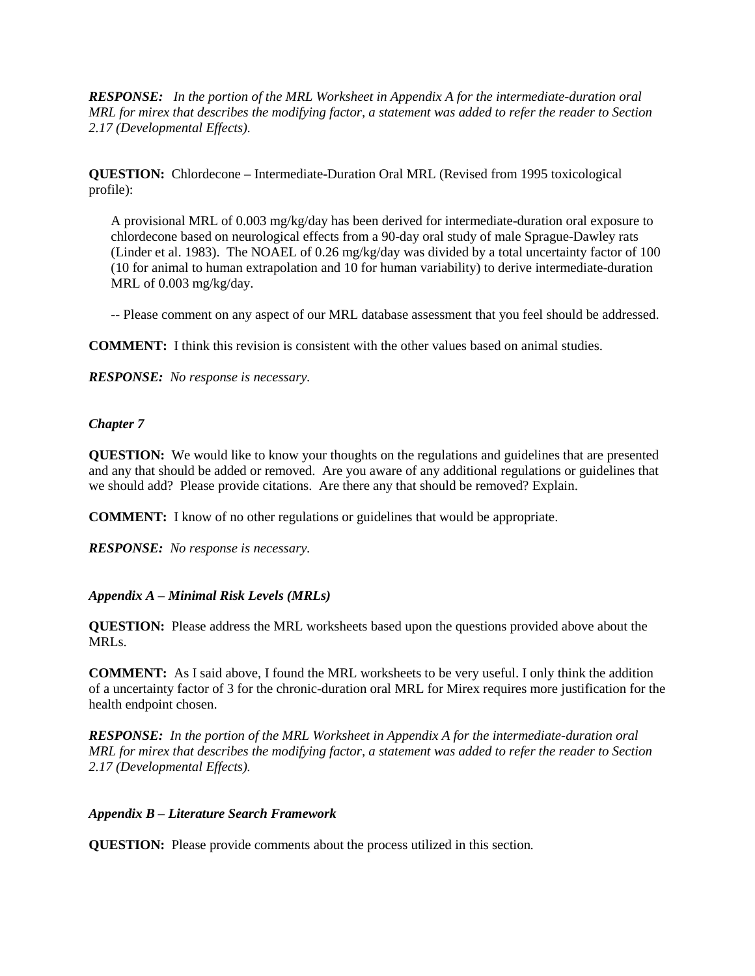*RESPONSE: In the portion of the MRL Worksheet in Appendix A for the intermediate-duration oral MRL for mirex that describes the modifying factor, a statement was added to refer the reader to Section 2.17 (Developmental Effects).* 

**QUESTION:** Chlordecone – Intermediate-Duration Oral MRL (Revised from 1995 toxicological profile):

A provisional MRL of 0.003 mg/kg/day has been derived for intermediate-duration oral exposure to chlordecone based on neurological effects from a 90-day oral study of male Sprague-Dawley rats (Linder et al. 1983). The NOAEL of 0.26 mg/kg/day was divided by a total uncertainty factor of 100 (10 for animal to human extrapolation and 10 for human variability) to derive intermediate-duration MRL of 0.003 mg/kg/day.

-- Please comment on any aspect of our MRL database assessment that you feel should be addressed.

**COMMENT:** I think this revision is consistent with the other values based on animal studies.

*RESPONSE: No response is necessary.*

### *Chapter 7*

**QUESTION:** We would like to know your thoughts on the regulations and guidelines that are presented and any that should be added or removed. Are you aware of any additional regulations or guidelines that we should add? Please provide citations. Are there any that should be removed? Explain.

**COMMENT:** I know of no other regulations or guidelines that would be appropriate.

*RESPONSE: No response is necessary.*

### *Appendix A – Minimal Risk Levels (MRLs)*

**QUESTION:** Please address the MRL worksheets based upon the questions provided above about the MRLs.

**COMMENT:** As I said above, I found the MRL worksheets to be very useful. I only think the addition of a uncertainty factor of 3 for the chronic-duration oral MRL for Mirex requires more justification for the health endpoint chosen.

*RESPONSE: In the portion of the MRL Worksheet in Appendix A for the intermediate-duration oral MRL for mirex that describes the modifying factor, a statement was added to refer the reader to Section 2.17 (Developmental Effects).* 

### *Appendix B – Literature Search Framework*

**QUESTION:** Please provide comments about the process utilized in this section*.*